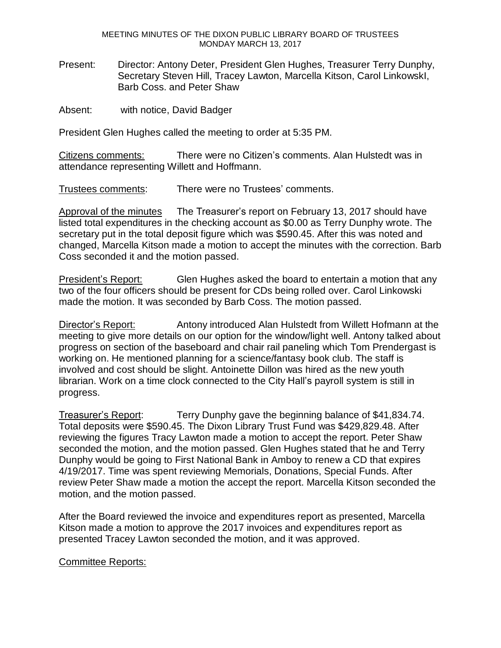MEETING MINUTES OF THE DIXON PUBLIC LIBRARY BOARD OF TRUSTEES MONDAY MARCH 13, 2017

Present: Director: Antony Deter, President Glen Hughes, Treasurer Terry Dunphy, Secretary Steven Hill, Tracey Lawton, Marcella Kitson, Carol LinkowskI, Barb Coss. and Peter Shaw

Absent: with notice, David Badger

President Glen Hughes called the meeting to order at 5:35 PM.

Citizens comments: There were no Citizen's comments. Alan Hulstedt was in attendance representing Willett and Hoffmann.

Trustees comments: There were no Trustees' comments.

Approval of the minutes The Treasurer's report on February 13, 2017 should have listed total expenditures in the checking account as \$0.00 as Terry Dunphy wrote. The secretary put in the total deposit figure which was \$590.45. After this was noted and changed, Marcella Kitson made a motion to accept the minutes with the correction. Barb Coss seconded it and the motion passed.

President's Report: Glen Hughes asked the board to entertain a motion that any two of the four officers should be present for CDs being rolled over. Carol Linkowski made the motion. It was seconded by Barb Coss. The motion passed.

Director's Report: Antony introduced Alan Hulstedt from Willett Hofmann at the meeting to give more details on our option for the window/light well. Antony talked about progress on section of the baseboard and chair rail paneling which Tom Prendergast is working on. He mentioned planning for a science/fantasy book club. The staff is involved and cost should be slight. Antoinette Dillon was hired as the new youth librarian. Work on a time clock connected to the City Hall's payroll system is still in progress.

Treasurer's Report: Terry Dunphy gave the beginning balance of \$41,834.74. Total deposits were \$590.45. The Dixon Library Trust Fund was \$429,829.48. After reviewing the figures Tracy Lawton made a motion to accept the report. Peter Shaw seconded the motion, and the motion passed. Glen Hughes stated that he and Terry Dunphy would be going to First National Bank in Amboy to renew a CD that expires 4/19/2017. Time was spent reviewing Memorials, Donations, Special Funds. After review Peter Shaw made a motion the accept the report. Marcella Kitson seconded the motion, and the motion passed.

After the Board reviewed the invoice and expenditures report as presented, Marcella Kitson made a motion to approve the 2017 invoices and expenditures report as presented Tracey Lawton seconded the motion, and it was approved.

## Committee Reports: